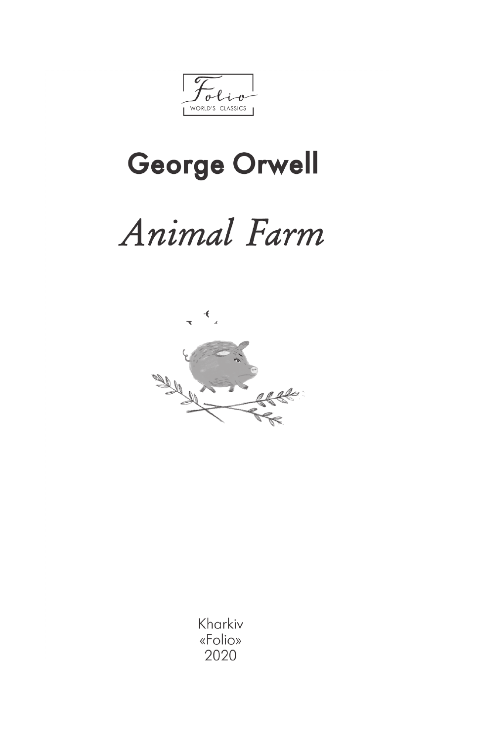$\epsilon$ WORLD'S CLASSICS

## **George Orwell**

## Animal Farm



Kharkiv «Folio» 2020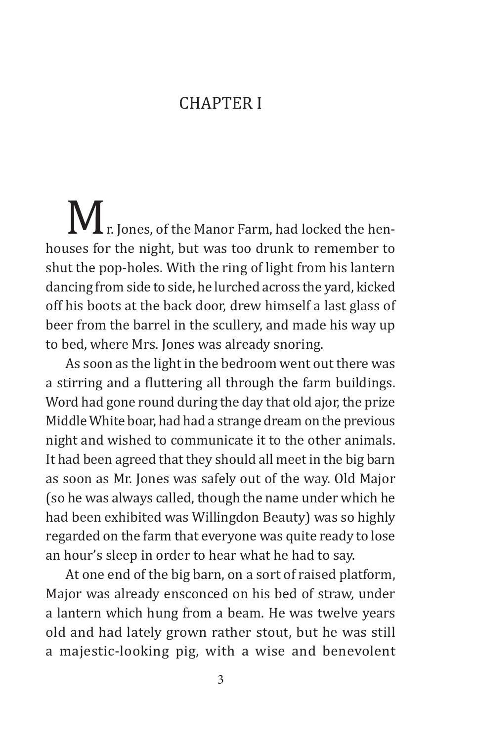## **CHAPTER I**

M<sub>r. Jones, of the Manor Farm, had locked the hen-</sub> houses for the night, but was too drunk to remember to shut the pop-holes. With the ring of light from his lantern dancing from side to side, he lurched across the yard, kicked off his boots at the back door, drew himself a last glass of beer from the barrel in the scullery, and made his way up to bed, where Mrs. Jones was already snoring.

As soon as the light in the bedroom went out there was a stirring and a fluttering all through the farm buildings. Word had gone round during the day that old ajor, the prize Middle White boar, had had a strange dream on the previous night and wished to communicate it to the other animals. It had been agreed that they should all meet in the big barn as soon as Mr. Jones was safely out of the way. Old Major (so he was always called, though the name under which he had been exhibited was Willingdon Beauty) was so highly regarded on the farm that everyone was quite ready to lose an hour's sleep in order to hear what he had to say.

At one end of the big barn, on a sort of raised platform, Major was already ensconced on his bed of straw, under a lantern which hung from a beam. He was twelve years old and had lately grown rather stout, but he was still a majestic-looking pig, with a wise and benevolent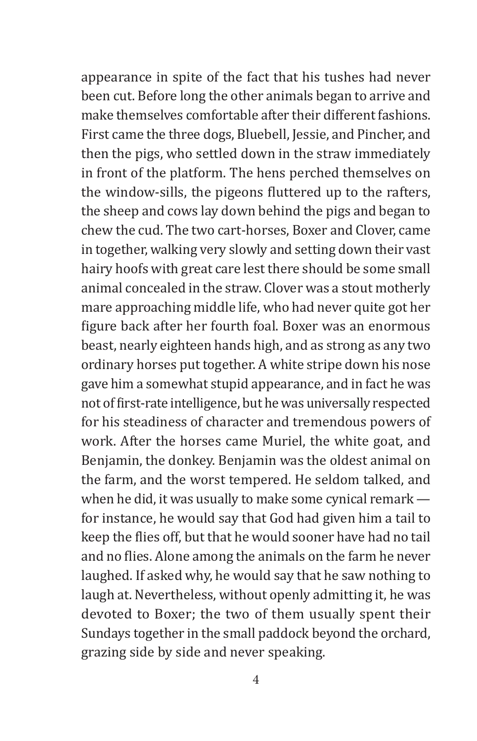appearance in spite of the fact that his tushes had never been cut. Before long the other animals began to arrive and make themselves comfortable after their different fashions. First came the three dogs, Bluebell, Jessie, and Pincher, and then the pigs, who settled down in the straw immediately in front of the platform. The hens perched themselves on the window-sills, the pigeons fluttered up to the rafters, the sheep and cows lay down behind the pigs and began to chew the cud. The two cart-horses, Boxer and Clover, came in together, walking very slowly and setting down their vast hairy hoofs with great care lest there should be some small animal concealed in the straw. Clover was a stout motherly mare approaching middle life, who had never quite got her figure back after her fourth foal. Boxer was an enormous beast, nearly eighteen hands high, and as strong as any two ordinary horses put together. A white stripe down his nose gave him a somewhat stupid appearance, and in fact he was not of first-rate intelligence, but he was universally respected for his steadiness of character and tremendous powers of work. After the horses came Muriel, the white goat, and Benjamin, the donkey. Benjamin was the oldest animal on the farm, and the worst tempered. He seldom talked, and when he did, it was usually to make some cynical remark for instance, he would say that God had given him a tail to keep the flies off, but that he would sooner have had no tail and no flies. Alone among the animals on the farm he never laughed. If asked why, he would say that he saw nothing to laugh at. Nevertheless, without openly admitting it, he was devoted to Boxer; the two of them usually spent their Sundays together in the small paddock beyond the orchard, grazing side by side and never speaking.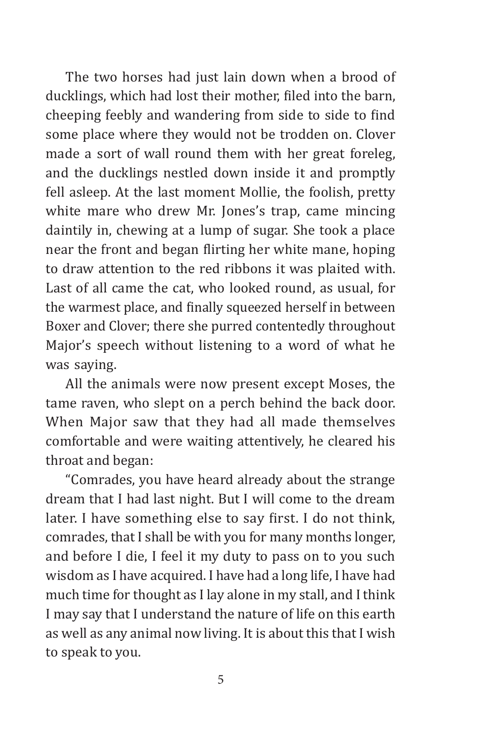The two horses had just lain down when a brood of ducklings, which had lost their mother, filed into the barn, cheeping feebly and wandering from side to side to find some place where they would not be trodden on. Clover made a sort of wall round them with her great foreleg, and the ducklings nestled down inside it and promptly fell asleep. At the last moment Mollie, the foolish, pretty white mare who drew Mr. Jones's trap, came mincing daintily in, chewing at a lump of sugar. She took a place near the front and began flirting her white mane, hoping to draw attention to the red ribbons it was plaited with. Last of all came the cat, who looked round, as usual, for the warmest place, and finally squeezed herself in between Boxer and Clover; there she purred contentedly throughout Major's speech without listening to a word of what he was saying.

All the animals were now present except Moses, the tame raven, who slept on a perch behind the back door. When Major saw that they had all made themselves comfortable and were waiting attentively, he cleared his throat and began:

"Comrades, you have heard already about the strange dream that I had last night. But I will come to the dream later. I have something else to say first. I do not think, comrades, that I shall be with you for many months longer, and before I die, I feel it my duty to pass on to you such wisdom as I have acquired. I have had a long life, I have had much time for thought as I lay alone in my stall, and I think I may say that I understand the nature of life on this earth as well as any animal now living. It is about this that I wish to speak to you.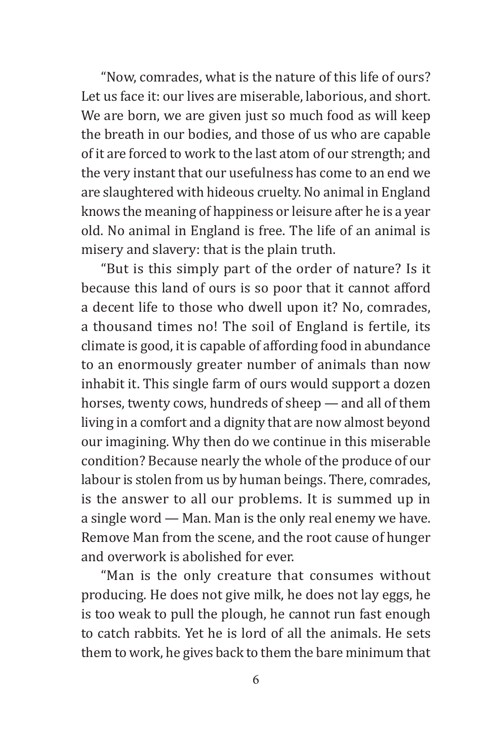"Now, comrades, what is the nature of this life of ours? Let us face it: our lives are miserable, laborious, and short. We are born, we are given just so much food as will keep the breath in our bodies, and those of us who are capable of it are forced to work to the last atom of our strength; and the very instant that our usefulness has come to an end we are slaughtered with hideous cruelty. No animal in England knows the meaning of happiness or leisure after he is a year old. No animal in England is free. The life of an animal is misery and slavery: that is the plain truth.

"But is this simply part of the order of nature? Is it because this land of ours is so poor that it cannot afford a decent life to those who dwell upon it? No, comrades, a thousand times no! The soil of England is fertile, its climate is good, it is capable of affording food in abundance to an enormously greater number of animals than now inhabit it. This single farm of ours would support a dozen horses, twenty cows, hundreds of sheep — and all of them living in a comfort and a dignity that are now almost beyond our imagining. Why then do we continue in this miserable condition? Because nearly the whole of the produce of our labour is stolen from us by human beings. There, comrades, is the answer to all our problems. It is summed up in a single word — Man. Man is the only real enemy we have. Remove Man from the scene, and the root cause of hunger and overwork is abolished for ever.

"Man is the only creature that consumes without producing. He does not give milk, he does not lay eggs, he is too weak to pull the plough, he cannot run fast enough to catch rabbits. Yet he is lord of all the animals. He sets them to work, he gives back to them the bare minimum that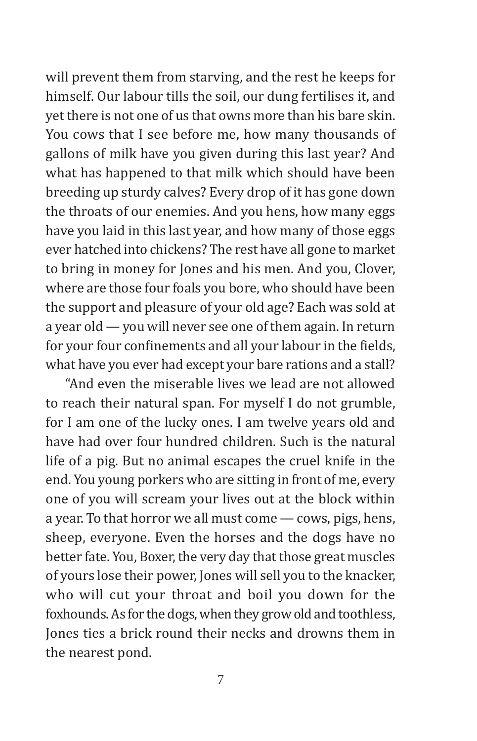will prevent them from starving, and the rest he keeps for himself. Our labour tills the soil, our dung fertilises it, and yet there is not one of us that owns more than his bare skin. You cows that I see before me, how many thousands of gallons of milk have you given during this last year? And what has happened to that milk which should have been breeding up sturdy calves? Every drop of it has gone down the throats of our enemies. And you hens, how many eggs have you laid in this last year, and how many of those eggs ever hatched into chickens? The rest have all gone to market to bring in money for Jones and his men. And you, Clover, where are those four foals you bore, who should have been the support and pleasure of your old age? Each was sold at a year old — you will never see one of them again. In return for your four confinements and all your labour in the fields, what have you ever had except your bare rations and a stall?

"And even the miserable lives we lead are not allowed to reach their natural span. For myself I do not grumble, for I am one of the lucky ones. I am twelve years old and have had over four hundred children. Such is the natural life of a pig. But no animal escapes the cruel knife in the end. You young porkers who are sitting in front of me, every one of you will scream your lives out at the block within a year. To that horror we all must come — cows, pigs, hens, sheep, everyone. Even the horses and the dogs have no better fate. You, Boxer, the very day that those great muscles of yours lose their power, Jones will sell you to the knacker, who will cut your throat and boil you down for the foxhounds. As for the dogs, when they grow old and toothless, Jones ties a brick round their necks and drowns them in the nearest pond.